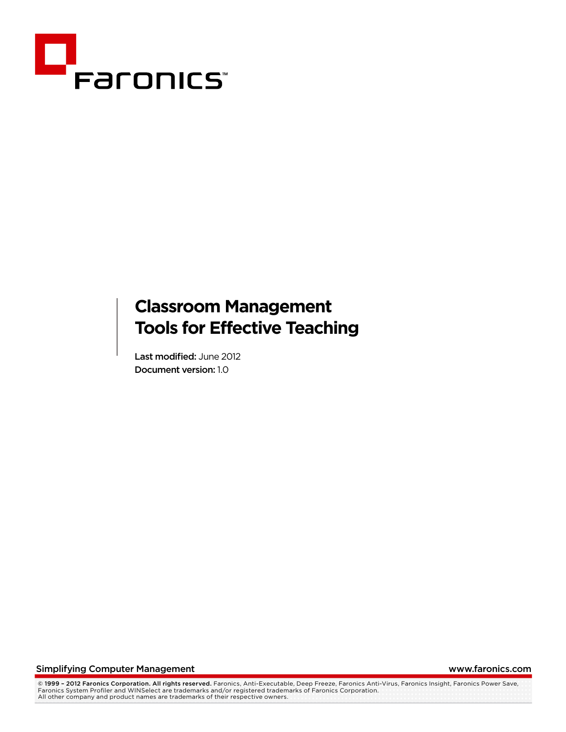

# **Classroom Management Tools for Effective Teaching**

Last modified: June 2012 Document version: 1.0

Simplifying Computer Management www.faronics.com

© **1999 – 2012 Faronics Corporation. All rights reserved.** Faronics, Anti-Executable, Deep Freeze, Faronics Anti-Virus, Faronics Insight, Faronics Power Save,<br>Faronics System Profiler and WINSelect are trademarks and/or re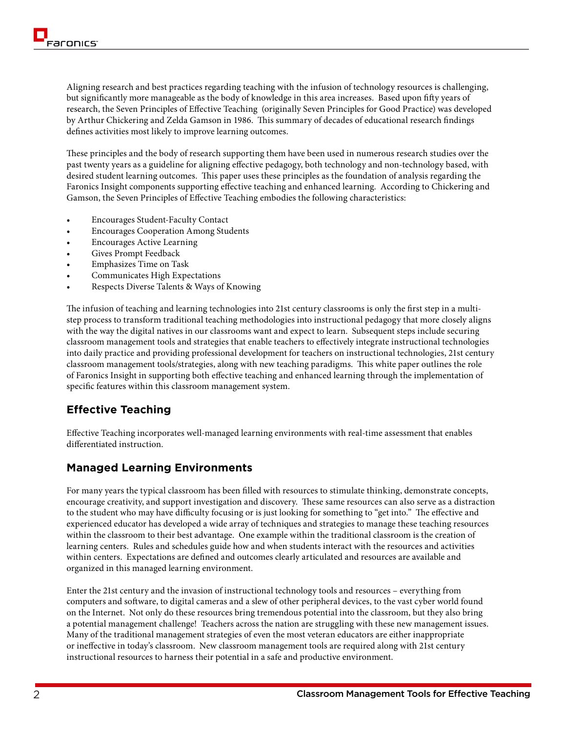Aligning research and best practices regarding teaching with the infusion of technology resources is challenging, but significantly more manageable as the body of knowledge in this area increases. Based upon fifty years of research, the Seven Principles of Effective Teaching (originally Seven Principles for Good Practice) was developed by Arthur Chickering and Zelda Gamson in 1986. This summary of decades of educational research findings defines activities most likely to improve learning outcomes.

These principles and the body of research supporting them have been used in numerous research studies over the past twenty years as a guideline for aligning effective pedagogy, both technology and non-technology based, with desired student learning outcomes. This paper uses these principles as the foundation of analysis regarding the Faronics Insight components supporting effective teaching and enhanced learning. According to Chickering and Gamson, the Seven Principles of Effective Teaching embodies the following characteristics:

- **Encourages Student-Faculty Contact**
- **Encourages Cooperation Among Students**
- Encourages Active Learning
- Gives Prompt Feedback
- **Emphasizes Time on Task**
- Communicates High Expectations
- Respects Diverse Talents & Ways of Knowing

The infusion of teaching and learning technologies into 21st century classrooms is only the first step in a multistep process to transform traditional teaching methodologies into instructional pedagogy that more closely aligns with the way the digital natives in our classrooms want and expect to learn. Subsequent steps include securing classroom management tools and strategies that enable teachers to effectively integrate instructional technologies into daily practice and providing professional development for teachers on instructional technologies, 21st century classroom management tools/strategies, along with new teaching paradigms. This white paper outlines the role of Faronics Insight in supporting both effective teaching and enhanced learning through the implementation of specific features within this classroom management system.

# **Effective Teaching**

Effective Teaching incorporates well-managed learning environments with real-time assessment that enables differentiated instruction.

# **Managed Learning Environments**

For many years the typical classroom has been filled with resources to stimulate thinking, demonstrate concepts, encourage creativity, and support investigation and discovery. These same resources can also serve as a distraction to the student who may have difficulty focusing or is just looking for something to "get into." The effective and experienced educator has developed a wide array of techniques and strategies to manage these teaching resources within the classroom to their best advantage. One example within the traditional classroom is the creation of learning centers. Rules and schedules guide how and when students interact with the resources and activities within centers. Expectations are defined and outcomes clearly articulated and resources are available and organized in this managed learning environment.

Enter the 21st century and the invasion of instructional technology tools and resources – everything from computers and software, to digital cameras and a slew of other peripheral devices, to the vast cyber world found on the Internet. Not only do these resources bring tremendous potential into the classroom, but they also bring a potential management challenge! Teachers across the nation are struggling with these new management issues. Many of the traditional management strategies of even the most veteran educators are either inappropriate or ineffective in today's classroom. New classroom management tools are required along with 21st century instructional resources to harness their potential in a safe and productive environment.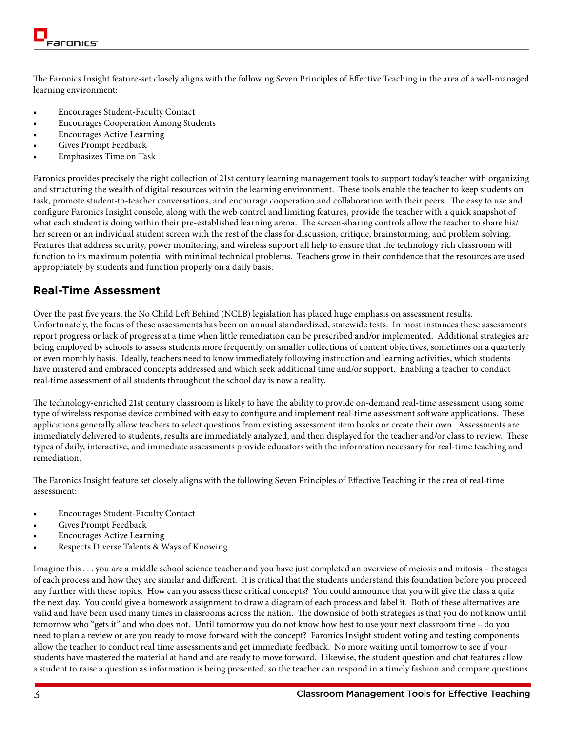The Faronics Insight feature-set closely aligns with the following Seven Principles of Effective Teaching in the area of a well-managed learning environment:

- **Encourages Student-Faculty Contact**
- **Encourages Cooperation Among Students**
- **Encourages Active Learning**
- Gives Prompt Feedback
- **Emphasizes Time on Task**

Faronics provides precisely the right collection of 21st century learning management tools to support today's teacher with organizing and structuring the wealth of digital resources within the learning environment. These tools enable the teacher to keep students on task, promote student-to-teacher conversations, and encourage cooperation and collaboration with their peers. The easy to use and configure Faronics Insight console, along with the web control and limiting features, provide the teacher with a quick snapshot of what each student is doing within their pre-established learning arena. The screen-sharing controls allow the teacher to share his/ her screen or an individual student screen with the rest of the class for discussion, critique, brainstorming, and problem solving. Features that address security, power monitoring, and wireless support all help to ensure that the technology rich classroom will function to its maximum potential with minimal technical problems. Teachers grow in their confidence that the resources are used appropriately by students and function properly on a daily basis.

#### **Real-Time Assessment**

Over the past five years, the No Child Left Behind (NCLB) legislation has placed huge emphasis on assessment results. Unfortunately, the focus of these assessments has been on annual standardized, statewide tests. In most instances these assessments report progress or lack of progress at a time when little remediation can be prescribed and/or implemented. Additional strategies are being employed by schools to assess students more frequently, on smaller collections of content objectives, sometimes on a quarterly or even monthly basis. Ideally, teachers need to know immediately following instruction and learning activities, which students have mastered and embraced concepts addressed and which seek additional time and/or support. Enabling a teacher to conduct real-time assessment of all students throughout the school day is now a reality.

The technology-enriched 21st century classroom is likely to have the ability to provide on-demand real-time assessment using some type of wireless response device combined with easy to configure and implement real-time assessment software applications. These applications generally allow teachers to select questions from existing assessment item banks or create their own. Assessments are immediately delivered to students, results are immediately analyzed, and then displayed for the teacher and/or class to review. These types of daily, interactive, and immediate assessments provide educators with the information necessary for real-time teaching and remediation.

The Faronics Insight feature set closely aligns with the following Seven Principles of Effective Teaching in the area of real-time assessment:

- **Encourages Student-Faculty Contact**
- Gives Prompt Feedback
- **Encourages Active Learning**
- Respects Diverse Talents & Ways of Knowing

Imagine this . . . you are a middle school science teacher and you have just completed an overview of meiosis and mitosis – the stages of each process and how they are similar and different. It is critical that the students understand this foundation before you proceed any further with these topics. How can you assess these critical concepts? You could announce that you will give the class a quiz the next day. You could give a homework assignment to draw a diagram of each process and label it. Both of these alternatives are valid and have been used many times in classrooms across the nation. The downside of both strategies is that you do not know until tomorrow who "gets it" and who does not. Until tomorrow you do not know how best to use your next classroom time – do you need to plan a review or are you ready to move forward with the concept? Faronics Insight student voting and testing components allow the teacher to conduct real time assessments and get immediate feedback. No more waiting until tomorrow to see if your students have mastered the material at hand and are ready to move forward. Likewise, the student question and chat features allow a student to raise a question as information is being presented, so the teacher can respond in a timely fashion and compare questions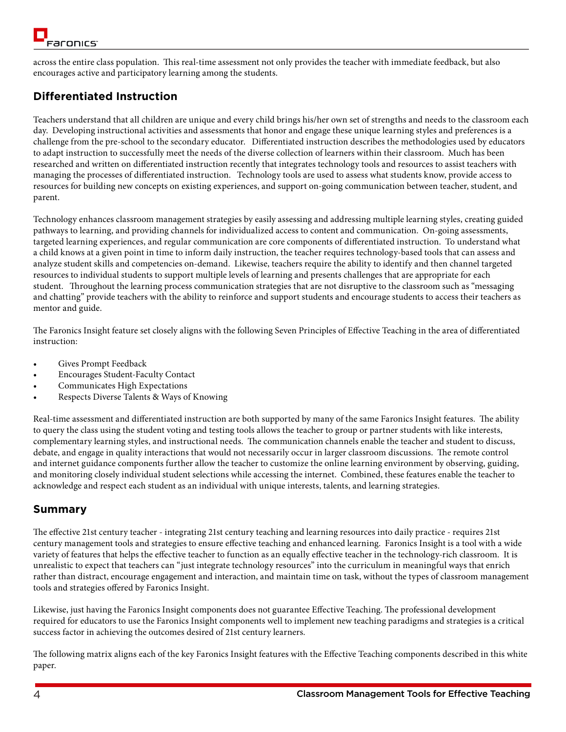across the entire class population. This real-time assessment not only provides the teacher with immediate feedback, but also encourages active and participatory learning among the students.

# **Differentiated Instruction**

Teachers understand that all children are unique and every child brings his/her own set of strengths and needs to the classroom each day. Developing instructional activities and assessments that honor and engage these unique learning styles and preferences is a challenge from the pre-school to the secondary educator. Differentiated instruction describes the methodologies used by educators to adapt instruction to successfully meet the needs of the diverse collection of learners within their classroom. Much has been researched and written on differentiated instruction recently that integrates technology tools and resources to assist teachers with managing the processes of differentiated instruction. Technology tools are used to assess what students know, provide access to resources for building new concepts on existing experiences, and support on-going communication between teacher, student, and parent.

Technology enhances classroom management strategies by easily assessing and addressing multiple learning styles, creating guided pathways to learning, and providing channels for individualized access to content and communication. On-going assessments, targeted learning experiences, and regular communication are core components of differentiated instruction. To understand what a child knows at a given point in time to inform daily instruction, the teacher requires technology-based tools that can assess and analyze student skills and competencies on-demand. Likewise, teachers require the ability to identify and then channel targeted resources to individual students to support multiple levels of learning and presents challenges that are appropriate for each student. Throughout the learning process communication strategies that are not disruptive to the classroom such as "messaging and chatting" provide teachers with the ability to reinforce and support students and encourage students to access their teachers as mentor and guide.

The Faronics Insight feature set closely aligns with the following Seven Principles of Effective Teaching in the area of differentiated instruction:

- Gives Prompt Feedback
- **Encourages Student-Faculty Contact**
- Communicates High Expectations
- Respects Diverse Talents & Ways of Knowing

Real-time assessment and differentiated instruction are both supported by many of the same Faronics Insight features. The ability to query the class using the student voting and testing tools allows the teacher to group or partner students with like interests, complementary learning styles, and instructional needs. The communication channels enable the teacher and student to discuss, debate, and engage in quality interactions that would not necessarily occur in larger classroom discussions. The remote control and internet guidance components further allow the teacher to customize the online learning environment by observing, guiding, and monitoring closely individual student selections while accessing the internet. Combined, these features enable the teacher to acknowledge and respect each student as an individual with unique interests, talents, and learning strategies.

# **Summary**

The effective 21st century teacher - integrating 21st century teaching and learning resources into daily practice - requires 21st century management tools and strategies to ensure effective teaching and enhanced learning. Faronics Insight is a tool with a wide variety of features that helps the effective teacher to function as an equally effective teacher in the technology-rich classroom. It is unrealistic to expect that teachers can "just integrate technology resources" into the curriculum in meaningful ways that enrich rather than distract, encourage engagement and interaction, and maintain time on task, without the types of classroom management tools and strategies offered by Faronics Insight.

Likewise, just having the Faronics Insight components does not guarantee Effective Teaching. The professional development required for educators to use the Faronics Insight components well to implement new teaching paradigms and strategies is a critical success factor in achieving the outcomes desired of 21st century learners.

The following matrix aligns each of the key Faronics Insight features with the Effective Teaching components described in this white paper.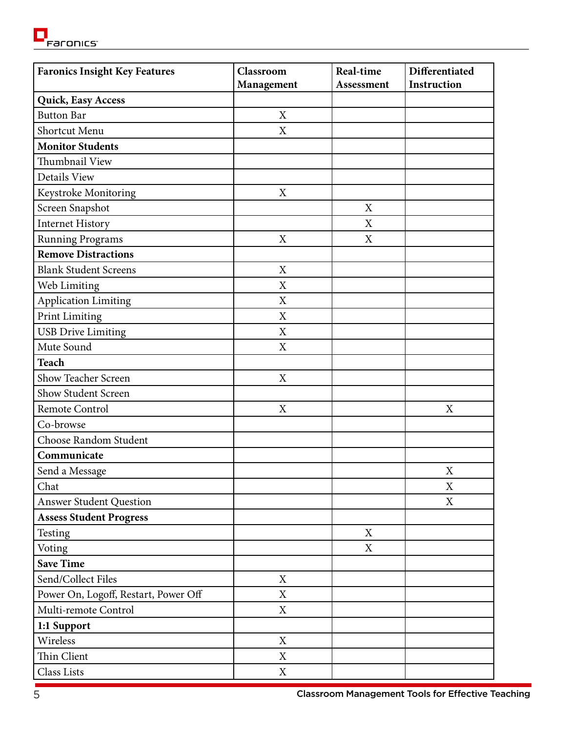<mark>CI</mark><br>Expriming

| <b>Faronics Insight Key Features</b> | Classroom                 | Real-time         | Differentiated |
|--------------------------------------|---------------------------|-------------------|----------------|
|                                      | Management                | <b>Assessment</b> | Instruction    |
| Quick, Easy Access                   |                           |                   |                |
| <b>Button Bar</b>                    | X                         |                   |                |
| Shortcut Menu                        | X                         |                   |                |
| <b>Monitor Students</b>              |                           |                   |                |
| Thumbnail View                       |                           |                   |                |
| <b>Details View</b>                  |                           |                   |                |
| Keystroke Monitoring                 | X                         |                   |                |
| Screen Snapshot                      |                           | X                 |                |
| <b>Internet History</b>              |                           | X                 |                |
| <b>Running Programs</b>              | $\boldsymbol{\mathrm{X}}$ | X                 |                |
| <b>Remove Distractions</b>           |                           |                   |                |
| <b>Blank Student Screens</b>         | X                         |                   |                |
| Web Limiting                         | X                         |                   |                |
| <b>Application Limiting</b>          | X                         |                   |                |
| <b>Print Limiting</b>                | $\boldsymbol{\mathrm{X}}$ |                   |                |
| <b>USB Drive Limiting</b>            | X                         |                   |                |
| Mute Sound                           | X                         |                   |                |
| <b>Teach</b>                         |                           |                   |                |
| Show Teacher Screen                  | X                         |                   |                |
| Show Student Screen                  |                           |                   |                |
| Remote Control                       | X                         |                   | X              |
| Co-browse                            |                           |                   |                |
| Choose Random Student                |                           |                   |                |
| Communicate                          |                           |                   |                |
| Send a Message                       |                           |                   | X              |
| Chat                                 |                           |                   | X              |
| <b>Answer Student Question</b>       |                           |                   | X              |
| <b>Assess Student Progress</b>       |                           |                   |                |
| Testing                              |                           | $\mathbf X$       |                |
| Voting                               |                           | X                 |                |
| <b>Save Time</b>                     |                           |                   |                |
| Send/Collect Files                   | X                         |                   |                |
| Power On, Logoff, Restart, Power Off | X                         |                   |                |
| Multi-remote Control                 | X                         |                   |                |
| 1:1 Support                          |                           |                   |                |
| Wireless                             | X                         |                   |                |
| Thin Client                          | $\boldsymbol{\mathrm{X}}$ |                   |                |
| Class Lists                          | $\mathbf X$               |                   |                |